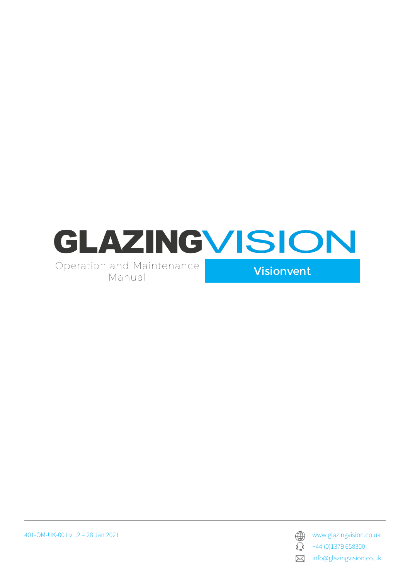

401-OM-UK-001 v1.2 – 28 Jan 2021 www.glazingvision.co.uk



 $\bigodot$  +44 (0)1379 658300

**X** info@glazingvision.co.uk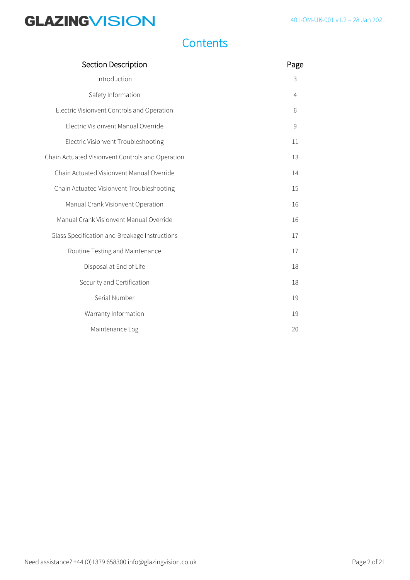### **Contents**

| Section Description                              |                |
|--------------------------------------------------|----------------|
| Introduction                                     | 3              |
| Safety Information                               | $\overline{4}$ |
| Electric Visionvent Controls and Operation       | 6              |
| Electric Visionvent Manual Override              | $\mathsf{S}$   |
| Electric Visionvent Troubleshooting              | 11             |
| Chain Actuated Visionvent Controls and Operation | 13             |
| Chain Actuated Visionvent Manual Override        | 14             |
| Chain Actuated Visionvent Troubleshooting        | 15             |
| Manual Crank Visionvent Operation                | 16             |
| Manual Crank Visionvent Manual Override          | 16             |
| Glass Specification and Breakage Instructions    | 17             |
| Routine Testing and Maintenance                  | 17             |
| Disposal at End of Life                          | 18             |
| Security and Certification                       | 18             |
| Serial Number                                    | 19             |
| Warranty Information                             | 19             |
| Maintenance Log                                  | 20             |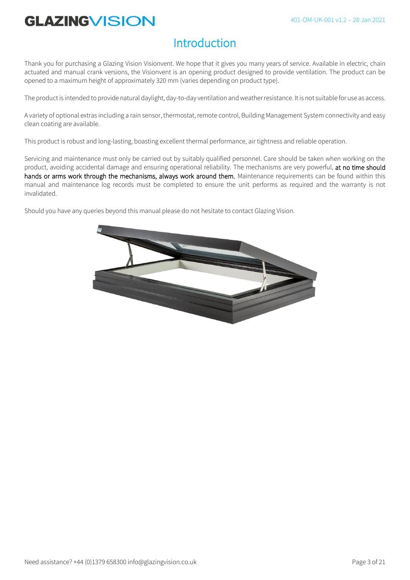### Introduction

Thank you for purchasing a Glazing Vision Visionvent. We hope that it gives you many years of service. Available in electric, chain actuated and manual crank versions, the Visionvent is an opening product designed to provide ventilation. The product can be opened to a maximum height of approximately 320 mm (varies depending on product type).

The product is intended to provide natural daylight, day-to-day ventilation and weather resistance. It is not suitable for use as access.

A variety of optional extras including a rain sensor, thermostat, remote control, Building Management System connectivity and easy clean coating are available.

This product is robust and long-lasting, boasting excellent thermal performance, air tightness and reliable operation.

Servicing and maintenance must only be carried out by suitably qualified personnel. Care should be taken when working on the product, avoiding accidental damage and ensuring operational reliability. The mechanisms are very powerful, at no time should hands or arms work through the mechanisms, always work around them. Maintenance requirements can be found within this manual and maintenance log records must be completed to ensure the unit performs as required and the warranty is not invalidated.

Should you have any queries beyond this manual please do not hesitate to contact Glazing Vision.

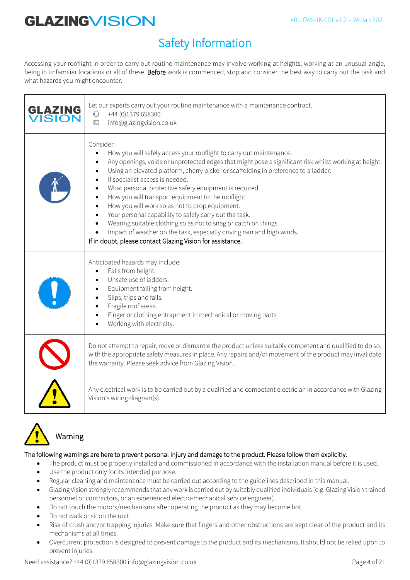### Safety Information

Accessing your rooflight in order to carry out routine maintenance may involve working at heights, working at an unusual angle, being in unfamiliar locations or all of these. Before work is commenced, stop and consider the best way to carry out the task and what hazards you might encounter.

| GLAZING<br><b>ISION</b> | Let our experts carry out your routine maintenance with a maintenance contract.<br>+44 (0)1379 658300<br>$\mathbb{O}$<br>info@glazingvision.co.uk<br>$\boxtimes$                                                                                                                                                                                                                                                                                                                                                                                                                                                                                                                                                                                           |
|-------------------------|------------------------------------------------------------------------------------------------------------------------------------------------------------------------------------------------------------------------------------------------------------------------------------------------------------------------------------------------------------------------------------------------------------------------------------------------------------------------------------------------------------------------------------------------------------------------------------------------------------------------------------------------------------------------------------------------------------------------------------------------------------|
|                         | Consider:<br>How you will safely access your rooflight to carry out maintenance.<br>Any openings, voids or unprotected edges that might pose a significant risk whilst working at height.<br>Using an elevated platform, cherry picker or scaffolding in preference to a ladder.<br>If specialist access is needed.<br>What personal protective safety equipment is required.<br>How you will transport equipment to the rooflight.<br>How you will work so as not to drop equipment.<br>Your personal capability to safely carry out the task.<br>Wearing suitable clothing so as not to snag or catch on things.<br>Impact of weather on the task, especially driving rain and high winds.<br>If in doubt, please contact Glazing Vision for assistance. |
|                         | Anticipated hazards may include:<br>Falls from height.<br>Unsafe use of ladders.<br>Equipment falling from height.<br>Slips, trips and falls.<br>Fragile roof areas.<br>Finger or clothing entrapment in mechanical or moving parts.<br>Working with electricity.                                                                                                                                                                                                                                                                                                                                                                                                                                                                                          |
|                         | Do not attempt to repair, move or dismantle the product unless suitably competent and qualified to do so,<br>with the appropriate safety measures in place. Any repairs and/or movement of the product may invalidate<br>the warranty. Please seek advice from Glazing Vision.                                                                                                                                                                                                                                                                                                                                                                                                                                                                             |
|                         | Any electrical work is to be carried out by a qualified and competent electrician in accordance with Glazing<br>Vision's wiring diagram(s).                                                                                                                                                                                                                                                                                                                                                                                                                                                                                                                                                                                                                |



### Warning

#### The following warnings are here to prevent personal injury and damage to the product. Please follow them explicitly.

- The product must be properly installed and commissioned in accordance with the installation manual before it is used.
- Use the product only for its intended purpose.
- Regular cleaning and maintenance must be carried out according to the guidelines described in this manual.
- Glazing Vision strongly recommends that any work is carried out by suitably qualified individuals (e.g. Glazing Vision trained personnel or contractors, or an experienced electro-mechanical service engineer).
- Do not touch the motors/mechanisms after operating the product as they may become hot.
- Do not walk or sit on the unit.
- Risk of crush and/or trapping injuries. Make sure that fingers and other obstructions are kept clear of the product and its mechanisms at all times.
- Overcurrent protection is designed to prevent damage to the product and its mechanisms. It should not be relied upon to prevent injuries.

Need assistance? +44 (0)1379 658300 info@glazingvision.co.uk Page 4 of 21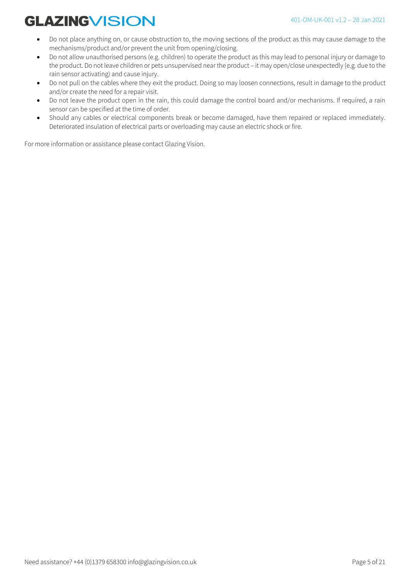- Do not place anything on, or cause obstruction to, the moving sections of the product as this may cause damage to the mechanisms/product and/or prevent the unit from opening/closing.
- Do not allow unauthorised persons (e.g. children) to operate the product as this may lead to personal injury or damage to the product. Do not leave children or pets unsupervised near the product – it may open/close unexpectedly (e.g. due to the rain sensor activating) and cause injury.
- Do not pull on the cables where they exit the product. Doing so may loosen connections, result in damage to the product and/or create the need for a repair visit.
- Do not leave the product open in the rain, this could damage the control board and/or mechanisms. If required, a rain sensor can be specified at the time of order.
- Should any cables or electrical components break or become damaged, have them repaired or replaced immediately. Deteriorated insulation of electrical parts or overloading may cause an electric shock or fire.

For more information or assistance please contact Glazing Vision.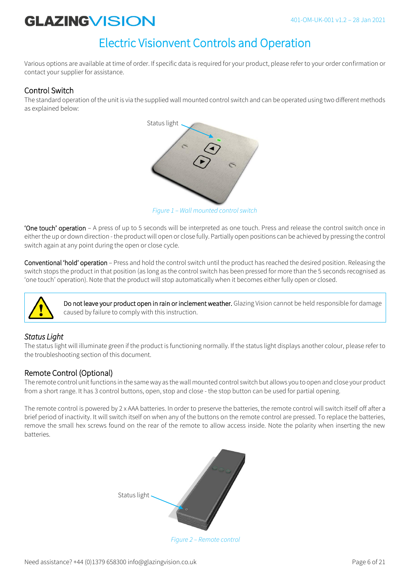### Electric Visionvent Controls and Operation

Various options are available at time of order. If specific data is required for your product, please refer to your order confirmation or contact your supplier for assistance.

### Control Switch

The standard operation of the unit is via the supplied wall mounted control switch and can be operated using two different methods as explained below:



*Figure 1 – Wall mounted control switch*

'One touch' operation – A press of up to 5 seconds will be interpreted as one touch. Press and release the control switch once in either the up or down direction - the product will open or close fully. Partially open positions can be achieved by pressing the control switch again at any point during the open or close cycle.

Conventional 'hold' operation – Press and hold the control switch until the product has reached the desired position. Releasing the switch stops the product in that position (as long as the control switch has been pressed for more than the 5 seconds recognised as 'one touch' operation). Note that the product will stop automatically when it becomes either fully open or closed.



Do not leave your product open in rain or inclement weather. Glazing Vision cannot be held responsible for damage caused by failure to comply with this instruction.

### *Status Light*

The status light will illuminate green if the product is functioning normally. If the status light displays another colour, please refer to the troubleshooting section of this document.

### Remote Control (Optional)

The remote control unit functions in the same way as the wall mounted control switch but allows you to open and close your product from a short range. It has 3 control buttons, open, stop and close - the stop button can be used for partial opening.

The remote control is powered by 2 x AAA batteries. In order to preserve the batteries, the remote control will switch itself off after a brief period of inactivity. It will switch itself on when any of the buttons on the remote control are pressed. To replace the batteries, remove the small hex screws found on the rear of the remote to allow access inside. Note the polarity when inserting the new batteries.



*Figure 2 – Remote control*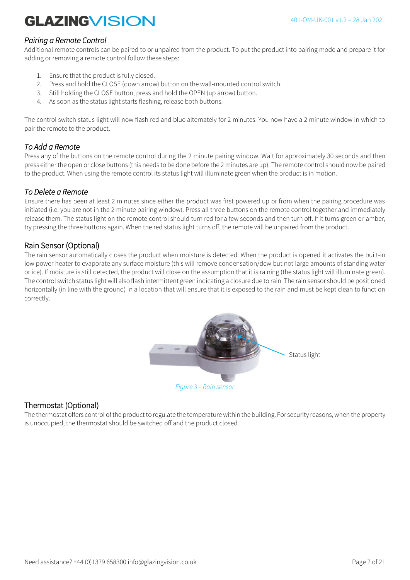### *Pairing a Remote Control*

Additional remote controls can be paired to or unpaired from the product. To put the product into pairing mode and prepare it for adding or removing a remote control follow these steps:

- 1. Ensure that the product is fully closed.
- 2. Press and hold the CLOSE (down arrow) button on the wall-mounted control switch.
- 3. Still holding the CLOSE button, press and hold the OPEN (up arrow) button.
- 4. As soon as the status light starts flashing, release both buttons.

The control switch status light will now flash red and blue alternately for 2 minutes. You now have a 2 minute window in which to pair the remote to the product.

### *To Add a Remote*

Press any of the buttons on the remote control during the 2 minute pairing window. Wait for approximately 30 seconds and then press either the open or close buttons (this needs to be done before the 2 minutes are up). The remote control should now be paired to the product. When using the remote control its status light will illuminate green when the product is in motion.

### *To Delete a Remote*

Ensure there has been at least 2 minutes since either the product was first powered up or from when the pairing procedure was initiated (i.e. you are not in the 2 minute pairing window). Press all three buttons on the remote control together and immediately release them. The status light on the remote control should turn red for a few seconds and then turn off. If it turns green or amber, try pressing the three buttons again. When the red status light turns off, the remote will be unpaired from the product.

### Rain Sensor (Optional)

The rain sensor automatically closes the product when moisture is detected. When the product is opened it activates the built-in low power heater to evaporate any surface moisture (this will remove condensation/dew but not large amounts of standing water or ice). If moisture is still detected, the product will close on the assumption that it is raining (the status light will illuminate green). The control switch status light will also flash intermittent green indicating a closure due to rain. The rain sensor should be positioned horizontally (in line with the ground) in a location that will ensure that it is exposed to the rain and must be kept clean to function correctly.



### Thermostat (Optional)

The thermostat offers control of the product to regulate the temperature within the building. For security reasons, when the property is unoccupied, the thermostat should be switched off and the product closed.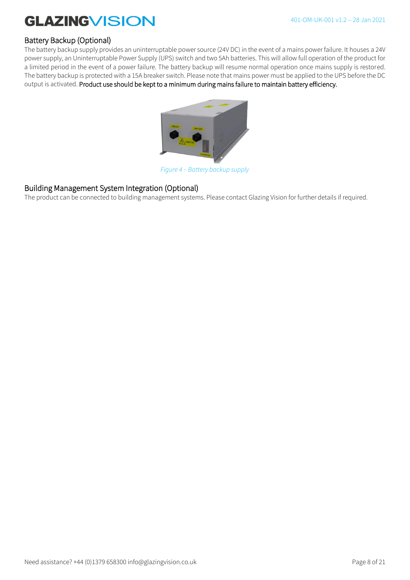### Battery Backup (Optional)

The battery backup supply provides an uninterruptable power source (24V DC) in the event of a mains power failure. It houses a 24V power supply, an Uninterruptable Power Supply (UPS) switch and two 5Ah batteries. This will allow full operation of the product for a limited period in the event of a power failure. The battery backup will resume normal operation once mains supply is restored. The battery backup is protected with a 15A breaker switch. Please note that mains power must be applied to the UPS before the DC output is activated. Product use should be kept to a minimum during mains failure to maintain battery efficiency.



*Figure 4 – Battery backup supply*

### Building Management System Integration (Optional)

The product can be connected to building management systems. Please contact Glazing Vision for further details if required.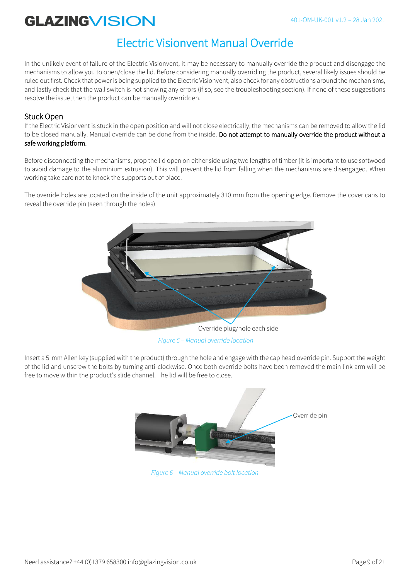### Electric Visionvent Manual Override

In the unlikely event of failure of the Electric Visionvent, it may be necessary to manually override the product and disengage the mechanisms to allow you to open/close the lid. Before considering manually overriding the product, several likely issues should be ruled out first. Check that power is being supplied to the Electric Visionvent, also check for any obstructions around the mechanisms, and lastly check that the wall switch is not showing any errors (if so, see the troubleshooting section). If none of these suggestions resolve the issue, then the product can be manually overridden.

### Stuck Open

If the Electric Visionvent is stuck in the open position and will not close electrically, the mechanisms can be removed to allow the lid to be closed manually. Manual override can be done from the inside. Do not attempt to manually override the product without a safe working platform.

Before disconnecting the mechanisms, prop the lid open on either side using two lengths of timber (it is important to use softwood to avoid damage to the aluminium extrusion). This will prevent the lid from falling when the mechanisms are disengaged. When working take care not to knock the supports out of place.

The override holes are located on the inside of the unit approximately 310 mm from the opening edge. Remove the cover caps to reveal the override pin (seen through the holes).



*Figure 5 – Manual override location*

Insert a 5 mm Allen key (supplied with the product) through the hole and engage with the cap head override pin. Support the weight of the lid and unscrew the bolts by turning anti-clockwise. Once both override bolts have been removed the main link arm will be free to move within the product's slide channel. The lid will be free to close.



*Figure 6 – Manual override bolt location*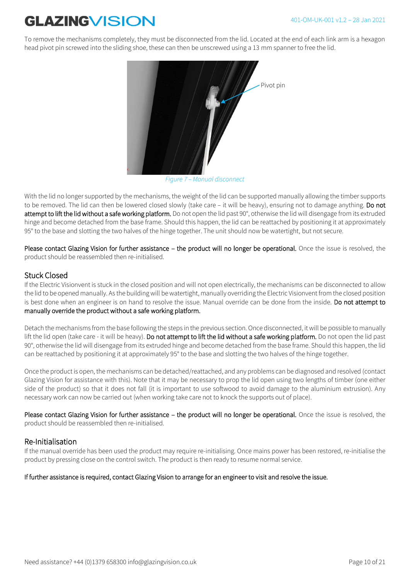To remove the mechanisms completely, they must be disconnected from the lid. Located at the end of each link arm is a hexagon head pivot pin screwed into the sliding shoe, these can then be unscrewed using a 13 mm spanner to free the lid.



*Figure 7 – Manual disconnect*

With the lid no longer supported by the mechanisms, the weight of the lid can be supported manually allowing the timber supports to be removed. The lid can then be lowered closed slowly (take care – it will be heavy), ensuring not to damage anything. Do not attempt to lift the lid without a safe working platform. Do not open the lid past 90°, otherwise the lid will disengage from its extruded hinge and become detached from the base frame. Should this happen, the lid can be reattached by positioning it at approximately 95° to the base and slotting the two halves of the hinge together. The unit should now be watertight, but not secure.

Please contact Glazing Vision for further assistance – the product will no longer be operational. Once the issue is resolved, the product should be reassembled then re-initialised.

### Stuck Closed

If the Electric Visionvent is stuck in the closed position and will not open electrically, the mechanisms can be disconnected to allow the lid to be opened manually. As the building will be watertight, manually overriding the Electric Visionvent from the closed position is best done when an engineer is on hand to resolve the issue. Manual override can be done from the inside. Do not attempt to manually override the product without a safe working platform.

Detach the mechanisms from the base following the steps in the previous section. Once disconnected, it will be possible to manually lift the lid open (take care - it will be heavy). Do not attempt to lift the lid without a safe working platform. Do not open the lid past 90°, otherwise the lid will disengage from its extruded hinge and become detached from the base frame. Should this happen, the lid can be reattached by positioning it at approximately 95° to the base and slotting the two halves of the hinge together.

Once the product is open, the mechanisms can be detached/reattached, and any problems can be diagnosed and resolved (contact Glazing Vision for assistance with this). Note that it may be necessary to prop the lid open using two lengths of timber (one either side of the product) so that it does not fall (it is important to use softwood to avoid damage to the aluminium extrusion). Any necessary work can now be carried out (when working take care not to knock the supports out of place).

Please contact Glazing Vision for further assistance – the product will no longer be operational. Once the issue is resolved, the product should be reassembled then re-initialised.

### Re-Initialisation

If the manual override has been used the product may require re-initialising. Once mains power has been restored, re-initialise the product by pressing close on the control switch. The product is then ready to resume normal service.

#### If further assistance is required, contact Glazing Vision to arrange for an engineer to visit and resolve the issue.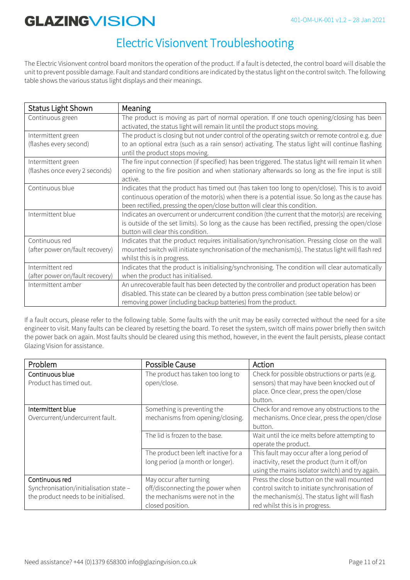### Electric Visionvent Troubleshooting

The Electric Visionvent control board monitors the operation of the product. If a fault is detected, the control board will disable the unit to prevent possible damage. Fault and standard conditions are indicated by the status light on the control switch. The following table shows the various status light displays and their meanings.

| <b>Status Light Shown</b>                            | Meaning                                                                                                                                                                                                                                                                      |
|------------------------------------------------------|------------------------------------------------------------------------------------------------------------------------------------------------------------------------------------------------------------------------------------------------------------------------------|
| Continuous green                                     | The product is moving as part of normal operation. If one touch opening/closing has been<br>activated, the status light will remain lit until the product stops moving.                                                                                                      |
| Intermittent green<br>(flashes every second)         | The product is closing but not under control of the operating switch or remote control e.g. due<br>to an optional extra (such as a rain sensor) activating. The status light will continue flashing<br>until the product stops moving.                                       |
| Intermittent green<br>(flashes once every 2 seconds) | The fire input connection (if specified) has been triggered. The status light will remain lit when<br>opening to the fire position and when stationary afterwards so long as the fire input is still<br>active.                                                              |
| Continuous blue                                      | Indicates that the product has timed out (has taken too long to open/close). This is to avoid<br>continuous operation of the motor(s) when there is a potential issue. So long as the cause has<br>been rectified, pressing the open/close button will clear this condition. |
| Intermittent blue                                    | Indicates an overcurrent or undercurrent condition (the current that the motor(s) are receiving<br>is outside of the set limits). So long as the cause has been rectified, pressing the open/close<br>button will clear this condition.                                      |
| Continuous red<br>(after power on/fault recovery)    | Indicates that the product requires initialisation/synchronisation. Pressing close on the wall<br>mounted switch will initiate synchronisation of the mechanism(s). The status light will flash red<br>whilst this is in progress.                                           |
| Intermittent red<br>(after power on/fault recovery)  | Indicates that the product is initialising/synchronising. The condition will clear automatically<br>when the product has initialised.                                                                                                                                        |
| Intermittent amber                                   | An unrecoverable fault has been detected by the controller and product operation has been<br>disabled. This state can be cleared by a button press combination (see table below) or<br>removing power (including backup batteries) from the product.                         |

If a fault occurs, please refer to the following table. Some faults with the unit may be easily corrected without the need for a site engineer to visit. Many faults can be cleared by resetting the board. To reset the system, switch off mains power briefly then switch the power back on again. Most faults should be cleared using this method, however, in the event the fault persists, please contact Glazing Vision for assistance.

| Problem                                | Possible Cause                       | Action                                          |
|----------------------------------------|--------------------------------------|-------------------------------------------------|
| Continuous blue                        | The product has taken too long to    | Check for possible obstructions or parts (e.g.  |
| Product has timed out.                 | open/close.                          | sensors) that may have been knocked out of      |
|                                        |                                      | place. Once clear, press the open/close         |
|                                        |                                      | button.                                         |
| Intermittent blue                      | Something is preventing the          | Check for and remove any obstructions to the    |
| Overcurrent/undercurrent fault.        | mechanisms from opening/closing.     | mechanisms. Once clear, press the open/close    |
|                                        |                                      | button.                                         |
|                                        | The lid is frozen to the base.       | Wait until the ice melts before attempting to   |
|                                        |                                      | operate the product.                            |
|                                        | The product been left inactive for a | This fault may occur after a long period of     |
|                                        | long period (a month or longer).     | inactivity, reset the product (turn it off/on   |
|                                        |                                      | using the mains isolator switch) and try again. |
| Continuous red                         | May occur after turning              | Press the close button on the wall mounted      |
| Synchronisation/initialisation state - | off/disconnecting the power when     | control switch to initiate synchronisation of   |
| the product needs to be initialised.   | the mechanisms were not in the       | the mechanism(s). The status light will flash   |
|                                        | closed position.                     | red whilst this is in progress.                 |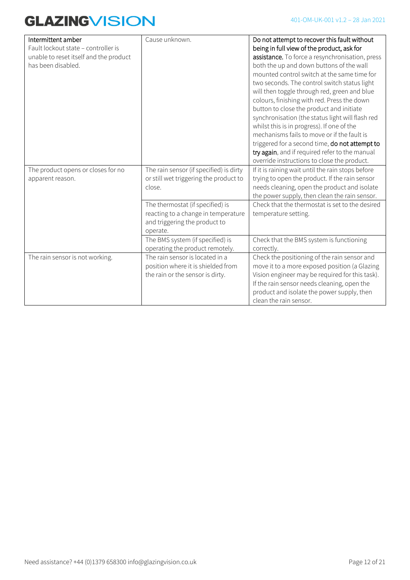| Intermittent amber<br>Fault lockout state - controller is<br>unable to reset itself and the product<br>has been disabled. | Cause unknown.                                                                                                       | Do not attempt to recover this fault without<br>being in full view of the product, ask for<br>assistance. To force a resynchronisation, press<br>both the up and down buttons of the wall<br>mounted control switch at the same time for<br>two seconds. The control switch status light<br>will then toggle through red, green and blue<br>colours, finishing with red. Press the down<br>button to close the product and initiate<br>synchronisation (the status light will flash red<br>whilst this is in progress). If one of the<br>mechanisms fails to move or if the fault is<br>triggered for a second time, do not attempt to<br>try again, and if required refer to the manual |
|---------------------------------------------------------------------------------------------------------------------------|----------------------------------------------------------------------------------------------------------------------|------------------------------------------------------------------------------------------------------------------------------------------------------------------------------------------------------------------------------------------------------------------------------------------------------------------------------------------------------------------------------------------------------------------------------------------------------------------------------------------------------------------------------------------------------------------------------------------------------------------------------------------------------------------------------------------|
|                                                                                                                           |                                                                                                                      | override instructions to close the product.                                                                                                                                                                                                                                                                                                                                                                                                                                                                                                                                                                                                                                              |
| The product opens or closes for no<br>apparent reason.                                                                    | The rain sensor (if specified) is dirty<br>or still wet triggering the product to<br>close.                          | If it is raining wait until the rain stops before<br>trying to open the product. If the rain sensor<br>needs cleaning, open the product and isolate<br>the power supply, then clean the rain sensor.                                                                                                                                                                                                                                                                                                                                                                                                                                                                                     |
|                                                                                                                           | The thermostat (if specified) is<br>reacting to a change in temperature<br>and triggering the product to<br>operate. | Check that the thermostat is set to the desired<br>temperature setting.                                                                                                                                                                                                                                                                                                                                                                                                                                                                                                                                                                                                                  |
|                                                                                                                           | The BMS system (if specified) is<br>operating the product remotely.                                                  | Check that the BMS system is functioning<br>correctly.                                                                                                                                                                                                                                                                                                                                                                                                                                                                                                                                                                                                                                   |
| The rain sensor is not working.                                                                                           | The rain sensor is located in a<br>position where it is shielded from<br>the rain or the sensor is dirty.            | Check the positioning of the rain sensor and<br>move it to a more exposed position (a Glazing<br>Vision engineer may be required for this task).<br>If the rain sensor needs cleaning, open the<br>product and isolate the power supply, then<br>clean the rain sensor.                                                                                                                                                                                                                                                                                                                                                                                                                  |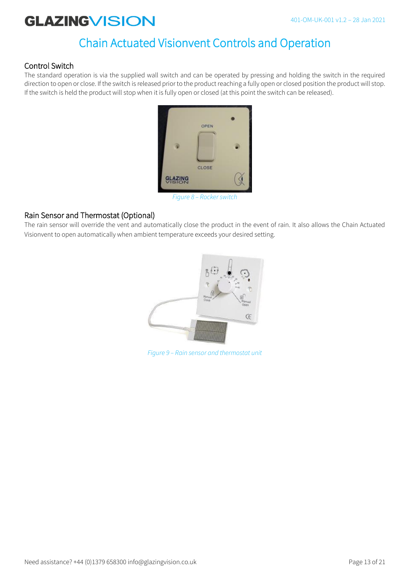### Chain Actuated Visionvent Controls and Operation

### Control Switch

The standard operation is via the supplied wall switch and can be operated by pressing and holding the switch in the required direction to open or close. If the switch is released prior to the product reaching a fully open or closed position the product will stop. If the switch is held the product will stop when it is fully open or closed (at this point the switch can be released).



*Figure 8 – Rocker switch*

### Rain Sensor and Thermostat (Optional)

The rain sensor will override the vent and automatically close the product in the event of rain. It also allows the Chain Actuated Visionvent to open automatically when ambient temperature exceeds your desired setting.



*Figure 9 – Rain sensor and thermostat unit*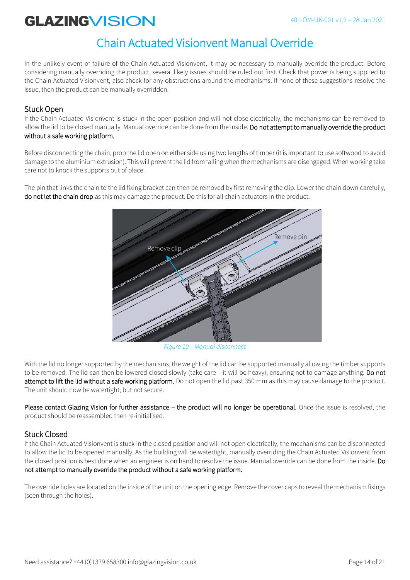### Chain Actuated Visionvent Manual Override

In the unlikely event of failure of the Chain Actuated Visionvent, it may be necessary to manually override the product. Before considering manually overriding the product, several likely issues should be ruled out first. Check that power is being supplied to the Chain Actuated Visionvent, also check for any obstructions around the mechanisms. If none of these suggestions resolve the issue, then the product can be manually overridden.

#### Stuck Open

If the Chain Actuated Visionvent is stuck in the open position and will not close electrically, the mechanisms can be removed to allow the lid to be closed manually. Manual override can be done from the inside. Do not attempt to manually override the product without a safe working platform.

Before disconnecting the chain, prop the lid open on either side using two lengths of timber (it is important to use softwood to avoid damage to the aluminium extrusion). This will prevent the lid from falling when the mechanisms are disengaged. When working take care not to knock the supports out of place.

The pin that links the chain to the lid fixing bracket can then be removed by first removing the clip. Lower the chain down carefully, do not let the chain drop as this may damage the product. Do this for all chain actuators in the product.



*Figure 10 – Manual disconnect*

With the lid no longer supported by the mechanisms, the weight of the lid can be supported manually allowing the timber supports to be removed. The lid can then be lowered closed slowly (take care – it will be heavy), ensuring not to damage anything. Do not attempt to lift the lid without a safe working platform. Do not open the lid past 350 mm as this may cause damage to the product. The unit should now be watertight, but not secure.

Please contact Glazing Vision for further assistance – the product will no longer be operational. Once the issue is resolved, the product should be reassembled then re-initialised.

### Stuck Closed

If the Chain Actuated Visionvent is stuck in the closed position and will not open electrically, the mechanisms can be disconnected to allow the lid to be opened manually. As the building will be watertight, manually overriding the Chain Actuated Visionvent from the closed position is best done when an engineer is on hand to resolve the issue. Manual override can be done from the inside. Do not attempt to manually override the product without a safe working platform.

The override holes are located on the inside of the unit on the opening edge. Remove the cover caps to reveal the mechanism fixings (seen through the holes).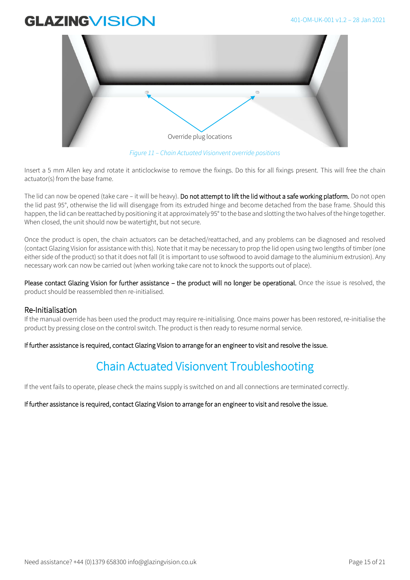

*Figure 11 – Chain Actuated Visionvent override positions*

Insert a 5 mm Allen key and rotate it anticlockwise to remove the fixings. Do this for all fixings present. This will free the chain actuator(s) from the base frame.

The lid can now be opened (take care – it will be heavy). Do not attempt to lift the lid without a safe working platform. Do not open the lid past 95°, otherwise the lid will disengage from its extruded hinge and become detached from the base frame. Should this happen, the lid can be reattached by positioning it at approximately 95° to the base and slotting the two halves of the hinge together. When closed, the unit should now be watertight, but not secure.

Once the product is open, the chain actuators can be detached/reattached, and any problems can be diagnosed and resolved (contact Glazing Vision for assistance with this). Note that it may be necessary to prop the lid open using two lengths of timber (one either side of the product) so that it does not fall (it is important to use softwood to avoid damage to the aluminium extrusion). Any necessary work can now be carried out (when working take care not to knock the supports out of place).

Please contact Glazing Vision for further assistance – the product will no longer be operational. Once the issue is resolved, the product should be reassembled then re-initialised.

### Re-Initialisation

If the manual override has been used the product may require re-initialising. Once mains power has been restored, re-initialise the product by pressing close on the control switch. The product is then ready to resume normal service.

If further assistance is required, contact Glazing Vision to arrange for an engineer to visit and resolve the issue.

### Chain Actuated Visionvent Troubleshooting

If the vent fails to operate, please check the mains supply is switched on and all connections are terminated correctly.

If further assistance is required, contact Glazing Vision to arrange for an engineer to visit and resolve the issue.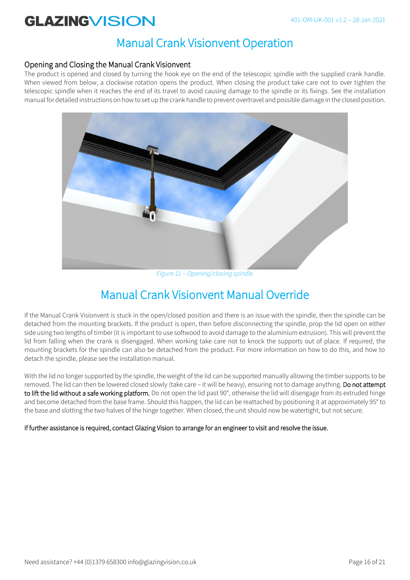### Manual Crank Visionvent Operation

### Opening and Closing the Manual Crank Visionvent

The product is opened and closed by turning the hook eye on the end of the telescopic spindle with the supplied crank handle. When viewed from below, a clockwise rotation opens the product. When closing the product take care not to over tighten the telescopic spindle when it reaches the end of its travel to avoid causing damage to the spindle or its fixings. See the installation manual for detailed instructions on how to set up the crank handle to prevent overtravel and possible damage in the closed position.



*Figure 11 – Opening/closing spindle*

### Manual Crank Visionvent Manual Override

If the Manual Crank Visionvent is stuck in the open/closed position and there is an issue with the spindle, then the spindle can be detached from the mounting brackets. If the product is open, then before disconnecting the spindle, prop the lid open on either side using two lengths of timber (it is important to use softwood to avoid damage to the aluminium extrusion). This will prevent the lid from falling when the crank is disengaged. When working take care not to knock the supports out of place. If required, the mounting brackets for the spindle can also be detached from the product. For more information on how to do this, and how to detach the spindle, please see the installation manual.

With the lid no longer supported by the spindle, the weight of the lid can be supported manually allowing the timber supports to be removed. The lid can then be lowered closed slowly (take care – it will be heavy), ensuring not to damage anything. Do not attempt to lift the lid without a safe working platform. Do not open the lid past 90°, otherwise the lid will disengage from its extruded hinge and become detached from the base frame. Should this happen, the lid can be reattached by positioning it at approximately 95° to the base and slotting the two halves of the hinge together. When closed, the unit should now be watertight, but not secure.

#### If further assistance is required, contact Glazing Vision to arrange for an engineer to visit and resolve the issue.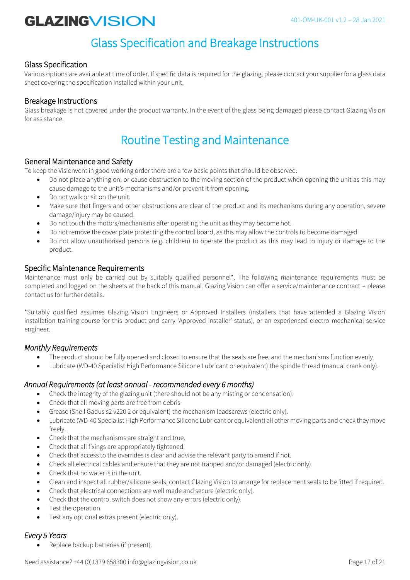### Glass Specification and Breakage Instructions

### Glass Specification

Various options are available at time of order. If specific data is required for the glazing, please contact your supplier for a glass data sheet covering the specification installed within your unit.

### Breakage Instructions

Glass breakage is not covered under the product warranty. In the event of the glass being damaged please contact Glazing Vision for assistance.

### Routine Testing and Maintenance

### General Maintenance and Safety

To keep the Visionvent in good working order there are a few basic points that should be observed:

- Do not place anything on, or cause obstruction to the moving section of the product when opening the unit as this may cause damage to the unit's mechanisms and/or prevent it from opening.
- Do not walk or sit on the unit.
- Make sure that fingers and other obstructions are clear of the product and its mechanisms during any operation, severe damage/injury may be caused.
- Do not touch the motors/mechanisms after operating the unit as they may become hot.
- Do not remove the cover plate protecting the control board, as this may allow the controls to become damaged.
- Do not allow unauthorised persons (e.g. children) to operate the product as this may lead to injury or damage to the product.

#### Specific Maintenance Requirements

Maintenance must only be carried out by suitably qualified personnel\*. The following maintenance requirements must be completed and logged on the sheets at the back of this manual. Glazing Vision can offer a service/maintenance contract – please contact us for further details.

\*Suitably qualified assumes Glazing Vision Engineers or Approved Installers (installers that have attended a Glazing Vision installation training course for this product and carry 'Approved Installer' status), or an experienced electro-mechanical service engineer.

### *Monthly Requirements*

- The product should be fully opened and closed to ensure that the seals are free, and the mechanisms function evenly.
- Lubricate (WD-40 Specialist High Performance Silicone Lubricant or equivalent) the spindle thread (manual crank only).

### *Annual Requirements (at least annual - recommended every 6 months)*

- Check the integrity of the glazing unit (there should not be any misting or condensation).
- Check that all moving parts are free from debris.
- Grease (Shell Gadus s2 v220 2 or equivalent) the mechanism leadscrews (electric only).
- Lubricate (WD-40 Specialist High Performance Silicone Lubricant or equivalent) all other moving parts and check they move freely.
- Check that the mechanisms are straight and true.
- Check that all fixings are appropriately tightened.
- Check that access to the overrides is clear and advise the relevant party to amend if not.
- Check all electrical cables and ensure that they are not trapped and/or damaged (electric only).
- Check that no water is in the unit.
- Clean and inspect all rubber/silicone seals, contact Glazing Vision to arrange for replacement seals to be fitted if required.
- Check that electrical connections are well made and secure (electric only).
- Check that the control switch does not show any errors (electric only).
- Test the operation.
- Test any optional extras present (electric only).

### *Every 5 Years*

Replace backup batteries (if present).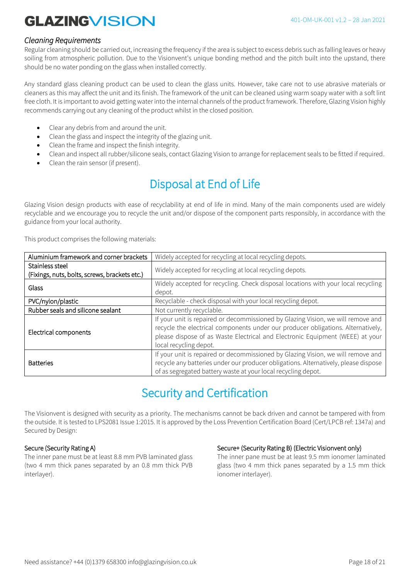#### *Cleaning Requirements*

Regular cleaning should be carried out, increasing the frequency if the area is subject to excess debris such as falling leaves or heavy soiling from atmospheric pollution. Due to the Visionvent's unique bonding method and the pitch built into the upstand, there should be no water ponding on the glass when installed correctly.

Any standard glass cleaning product can be used to clean the glass units. However, take care not to use abrasive materials or cleaners as this may affect the unit and its finish. The framework of the unit can be cleaned using warm soapy water with a soft lint free cloth. It is important to avoid getting water into the internal channels of the product framework. Therefore, Glazing Vision highly recommends carrying out any cleaning of the product whilst in the closed position.

- Clear any debris from and around the unit.
- Clean the glass and inspect the integrity of the glazing unit.
- Clean the frame and inspect the finish integrity.
- Clean and inspect all rubber/silicone seals, contact Glazing Vision to arrange for replacement seals to be fitted if required.
- Clean the rain sensor (if present).

### Disposal at End of Life

Glazing Vision design products with ease of recyclability at end of life in mind. Many of the main components used are widely recyclable and we encourage you to recycle the unit and/or dispose of the component parts responsibly, in accordance with the guidance from your local authority.

This product comprises the following materials:

| Aluminium framework and corner brackets       | Widely accepted for recycling at local recycling depots.                                                                                                                                                                                                                        |
|-----------------------------------------------|---------------------------------------------------------------------------------------------------------------------------------------------------------------------------------------------------------------------------------------------------------------------------------|
| Stainless steel                               | Widely accepted for recycling at local recycling depots.                                                                                                                                                                                                                        |
| (Fixings, nuts, bolts, screws, brackets etc.) |                                                                                                                                                                                                                                                                                 |
| Glass                                         | Widely accepted for recycling. Check disposal locations with your local recycling<br>depot.                                                                                                                                                                                     |
| PVC/nylon/plastic                             | Recyclable - check disposal with your local recycling depot.                                                                                                                                                                                                                    |
| Rubber seals and silicone sealant             | Not currently recyclable.                                                                                                                                                                                                                                                       |
| Electrical components                         | If your unit is repaired or decommissioned by Glazing Vision, we will remove and<br>recycle the electrical components under our producer obligations. Alternatively,<br>please dispose of as Waste Electrical and Electronic Equipment (WEEE) at your<br>local recycling depot. |
| <b>Batteries</b>                              | If your unit is repaired or decommissioned by Glazing Vision, we will remove and<br>recycle any batteries under our producer obligations. Alternatively, please dispose<br>of as segregated battery waste at your local recycling depot.                                        |

### Security and Certification

The Visionvent is designed with security as a priority. The mechanisms cannot be back driven and cannot be tampered with from the outside. It is tested to LPS2081 Issue 1:2015. It is approved by the Loss Prevention Certification Board (Cert/LPCB ref: 1347a) and Secured by Design:

#### Secure (Security Rating A)

The inner pane must be at least 8.8 mm PVB laminated glass (two 4 mm thick panes separated by an 0.8 mm thick PVB interlayer).

#### Secure+ (Security Rating B) (Electric Visionvent only)

The inner pane must be at least 9.5 mm ionomer laminated glass (two 4 mm thick panes separated by a 1.5 mm thick ionomer interlayer).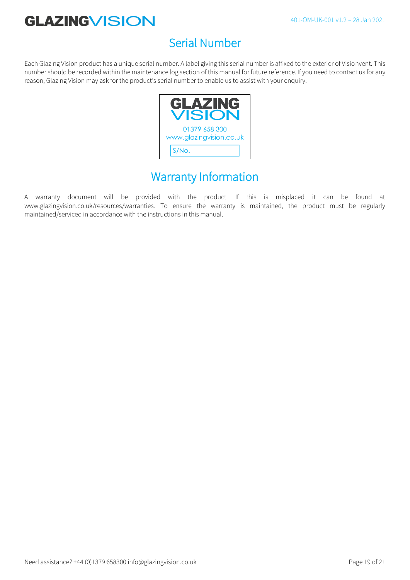### Serial Number

Each Glazing Vision product has a unique serial number. A label giving this serial number is affixed to the exterior of Visionvent. This number should be recorded within the maintenance log section of this manual for future reference. If you need to contact us for any reason, Glazing Vision may ask for the product's serial number to enable us to assist with your enquiry.



### Warranty Information

A warranty document will be provided with the product. If this is misplaced it can be found at www.glazingvision.co.uk/resources/warranties. To ensure the warranty is maintained, the product must be regularly maintained/serviced in accordance with the instructions in this manual.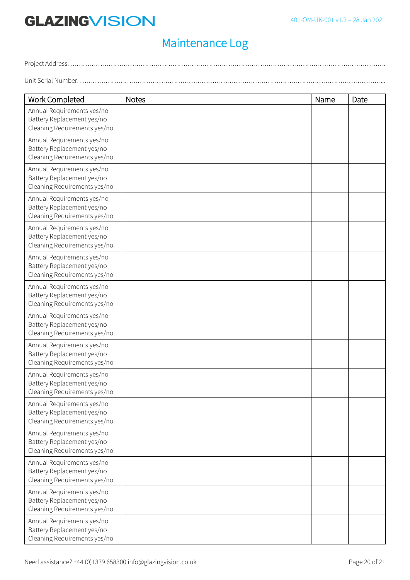## Maintenance Log

Project Address: ………………………………………………………………………………………………………………………………….

Unit Serial Number: ……………………………………………………………………………………………………………………………...

| <b>Work Completed</b>                                                                    | <b>Notes</b> | Name | Date |
|------------------------------------------------------------------------------------------|--------------|------|------|
| Annual Requirements yes/no<br>Battery Replacement yes/no<br>Cleaning Requirements yes/no |              |      |      |
| Annual Requirements yes/no<br>Battery Replacement yes/no<br>Cleaning Requirements yes/no |              |      |      |
| Annual Requirements yes/no<br>Battery Replacement yes/no<br>Cleaning Requirements yes/no |              |      |      |
| Annual Requirements yes/no<br>Battery Replacement yes/no<br>Cleaning Requirements yes/no |              |      |      |
| Annual Requirements yes/no<br>Battery Replacement yes/no<br>Cleaning Requirements yes/no |              |      |      |
| Annual Requirements yes/no<br>Battery Replacement yes/no<br>Cleaning Requirements yes/no |              |      |      |
| Annual Requirements yes/no<br>Battery Replacement yes/no<br>Cleaning Requirements yes/no |              |      |      |
| Annual Requirements yes/no<br>Battery Replacement yes/no<br>Cleaning Requirements yes/no |              |      |      |
| Annual Requirements yes/no<br>Battery Replacement yes/no<br>Cleaning Requirements yes/no |              |      |      |
| Annual Requirements yes/no<br>Battery Replacement yes/no<br>Cleaning Requirements yes/no |              |      |      |
| Annual Requirements yes/no<br>Battery Replacement yes/no<br>Cleaning Requirements yes/no |              |      |      |
| Annual Requirements yes/no<br>Battery Replacement yes/no<br>Cleaning Requirements yes/no |              |      |      |
| Annual Requirements yes/no<br>Battery Replacement yes/no<br>Cleaning Requirements yes/no |              |      |      |
| Annual Requirements yes/no<br>Battery Replacement yes/no<br>Cleaning Requirements yes/no |              |      |      |
| Annual Requirements yes/no<br>Battery Replacement yes/no<br>Cleaning Requirements yes/no |              |      |      |